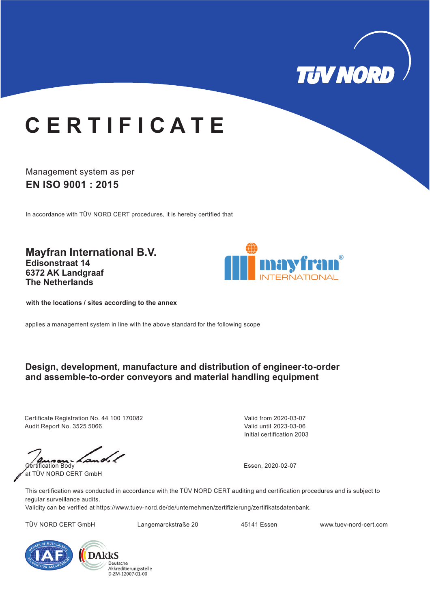

# **C E R T I F I C A T E**

### Management system as per **EN ISO 9001 : 2015**

In accordance with TÜV NORD CERT procedures, it is hereby certified that

**Mayfran International B.V. Edisonstraat 14 6372 AK Landgraaf The Netherlands**



**with the locations / sites according to the annex**

applies a management system in line with the above standard for the following scope

#### **Design, development, manufacture and distribution of engineer-to-order and assemble-to-order conveyors and material handling equipment**

Certificate Registration No. 44 100 170082 Audit Report No. 3525 5066

Initial certification 2003 Valid from 2020-03-07 Valid until 2023-03-06

Certification Body at TÜV NORD CERT GmbH

Essen, 2020-02-07

This certification was conducted in accordance with the TÜV NORD CERT auditing and certification procedures and is subject to regular surveillance audits.

Validity can be verified at https://www.tuev-nord.de/de/unternehmen/zertifizierung/zertifikatsdatenbank.

TÜV NORD CERT GmbH Langemarckstraße 20 45141 Essen www.tuev-nord-cert.com